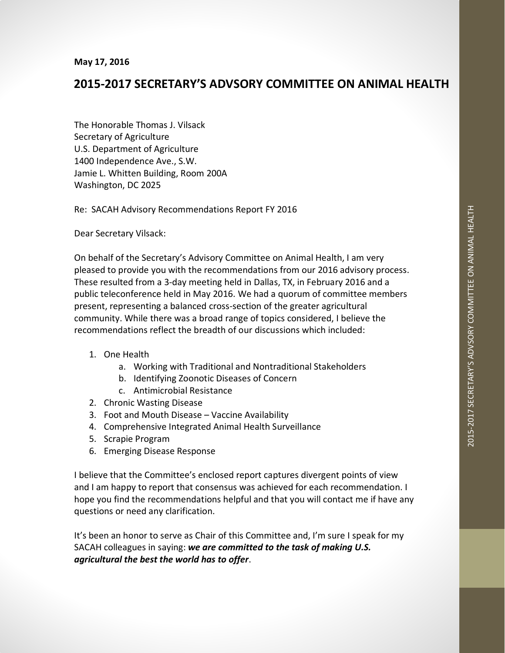## **2015-2017 SECRETARY'S ADVSORY COMMITTEE ON ANIMAL HEALTH**

The Honorable Thomas J. Vilsack Secretary of Agriculture U.S. Department of Agriculture 1400 Independence Ave., S.W. Jamie L. Whitten Building, Room 200A Washington, DC 2025

Re: SACAH Advisory Recommendations Report FY 2016

Dear Secretary Vilsack:

On behalf of the Secretary's Advisory Committee on Animal Health, I am very pleased to provide you with the recommendations from our 2016 advisory process. These resulted from a 3-day meeting held in Dallas, TX, in February 2016 and a public teleconference held in May 2016. We had a quorum of committee members present, representing a balanced cross-section of the greater agricultural community. While there was a broad range of topics considered, I believe the recommendations reflect the breadth of our discussions which included:

- 1. One Health
	- a. Working with Traditional and Nontraditional Stakeholders
	- b. Identifying Zoonotic Diseases of Concern
	- c. Antimicrobial Resistance
- 2. Chronic Wasting Disease
- 3. Foot and Mouth Disease Vaccine Availability
- 4. Comprehensive Integrated Animal Health Surveillance
- 5. Scrapie Program
- 6. Emerging Disease Response

I believe that the Committee's enclosed report captures divergent points of view and I am happy to report that consensus was achieved for each recommendation. I hope you find the recommendations helpful and that you will contact me if have any questions or need any clarification.

It's been an honor to serve as Chair of this Committee and, I'm sure I speak for my SACAH colleagues in saying: *we are committed to the task of making U.S. agricultural the best the world has to offer*.